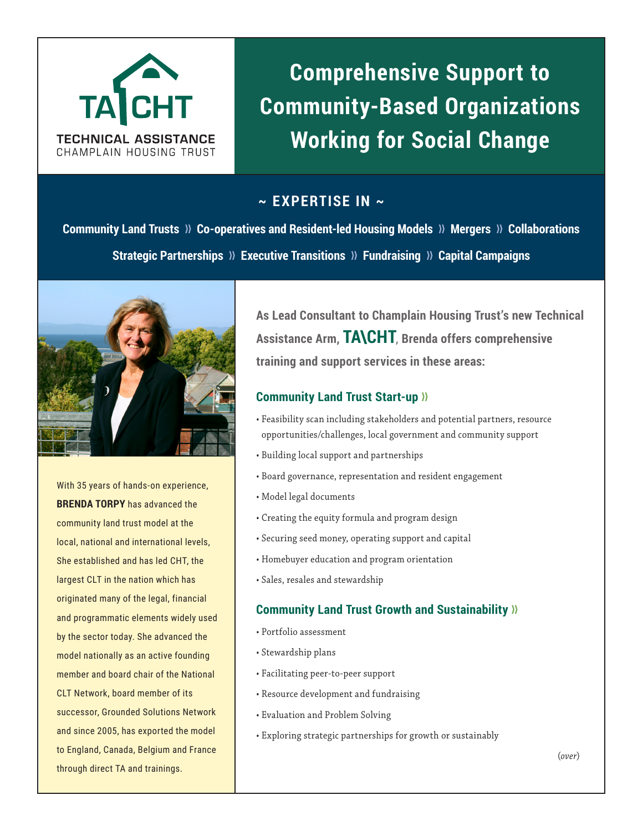

# **Comprehensive Support to Community-Based Organizations Working for Social Change**

# **~ EXPERTISE IN ~**

**Community Land Trusts >>>>>>>>>>** Co-operatives and Resident-led Housing Models >>>>>>>>>>>> Pollaborations **Strategic Partnerships >>>** Executive Transitions >>>> Fundraising >>> Capital Campaigns



With 35 years of hands-on experience, **BRENDA TORPY** has advanced the community land trust model at the local, national and international levels, She established and has led CHT, the largest CLT in the nation which has originated many of the legal, financial and programmatic elements widely used by the sector today. She advanced the model nationally as an active founding member and board chair of the National CLT Network, board member of its successor, Grounded Solutions Network and since 2005, has exported the model to England, Canada, Belgium and France through direct TA and trainings.

**As Lead Consultant to Champlain Housing Trust's new Technical Assistance Arm, TA\CHT**, **Brenda offers comprehensive training and support services in these areas:** 

### **Community Land Trust Start-up >>**

- Feasibility scan including stakeholders and potential partners, resource opportunities/challenges, local government and community support
- Building local support and partnerships
- Board governance, representation and resident engagement
- Model legal documents
- Creating the equity formula and program design
- Securing seed money, operating support and capital
- Homebuyer education and program orientation
- Sales, resales and stewardship

### **Community Land Trust Growth and Sustainability >>**

- Portfolio assessment
- Stewardship plans
- Facilitating peer-to-peer support
- Resource development and fundraising
- Evaluation and Problem Solving
- Exploring strategic partnerships for growth or sustainably

(*over*)